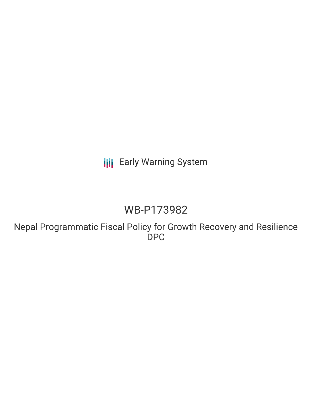### **III** Early Warning System

## WB-P173982

Nepal Programmatic Fiscal Policy for Growth Recovery and Resilience DPC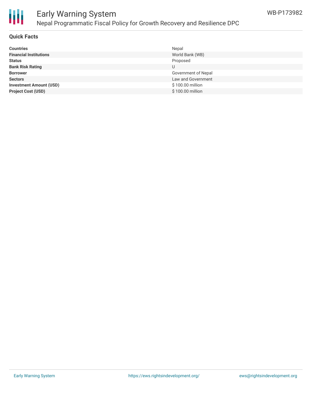

### Early Warning System Nepal Programmatic Fiscal Policy for Growth Recovery and Resilience DPC

#### **Quick Facts**

| <b>Countries</b>               | Nepal               |
|--------------------------------|---------------------|
| <b>Financial Institutions</b>  | World Bank (WB)     |
| <b>Status</b>                  | Proposed            |
| <b>Bank Risk Rating</b>        | U                   |
| <b>Borrower</b>                | Government of Nepal |
| <b>Sectors</b>                 | Law and Government  |
| <b>Investment Amount (USD)</b> | \$100.00 million    |
| <b>Project Cost (USD)</b>      | \$100.00 million    |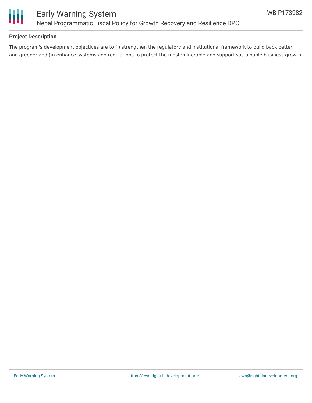

#### **Project Description**

The program's development objectives are to (i) strengthen the regulatory and institutional framework to build back better and greener and (ii) enhance systems and regulations to protect the most vulnerable and support sustainable business growth.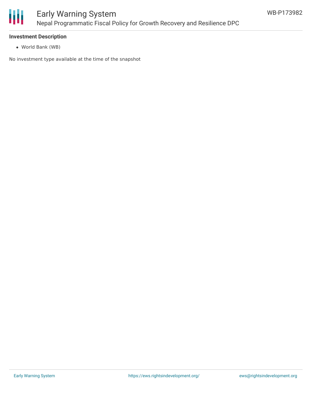

#### **Investment Description**

World Bank (WB)

No investment type available at the time of the snapshot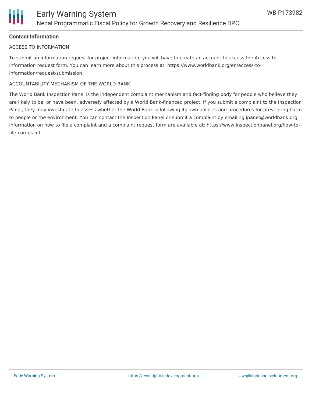

#### **Contact Information**

#### ACCESS TO INFORMATION

To submit an information request for project information, you will have to create an account to access the Access to Information request form. You can learn more about this process at: https://www.worldbank.org/en/access-toinformation/request-submission

#### ACCOUNTABILITY MECHANISM OF THE WORLD BANK

The World Bank Inspection Panel is the independent complaint mechanism and fact-finding body for people who believe they are likely to be, or have been, adversely affected by a World Bank-financed project. If you submit a complaint to the Inspection Panel, they may investigate to assess whether the World Bank is following its own policies and procedures for preventing harm to people or the environment. You can contact the Inspection Panel or submit a complaint by emailing ipanel@worldbank.org. Information on how to file a complaint and a complaint request form are available at: https://www.inspectionpanel.org/how-tofile-complaint